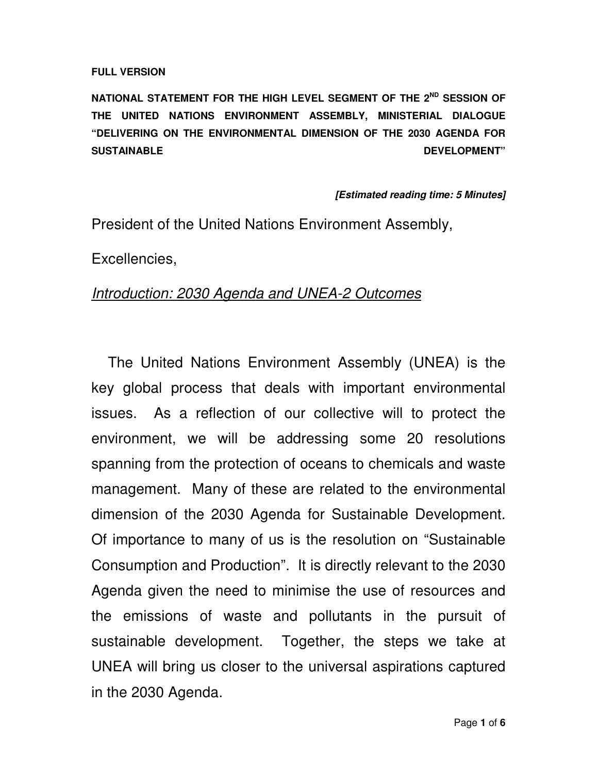#### **FULL VERSION**

**NATIONAL STATEMENT FOR THE HIGH LEVEL SEGMENT OF THE 2ND SESSION OF THE UNITED NATIONS ENVIRONMENT ASSEMBLY, MINISTERIAL DIALOGUE "DELIVERING ON THE ENVIRONMENTAL DIMENSION OF THE 2030 AGENDA FOR SUSTAINABLE DEVELOPMENT"** 

#### **[Estimated reading time: 5 Minutes]**

President of the United Nations Environment Assembly,

Excellencies,

### Introduction: 2030 Agenda and UNEA-2 Outcomes

The United Nations Environment Assembly (UNEA) is the key global process that deals with important environmental issues. As a reflection of our collective will to protect the environment, we will be addressing some 20 resolutions spanning from the protection of oceans to chemicals and waste management. Many of these are related to the environmental dimension of the 2030 Agenda for Sustainable Development. Of importance to many of us is the resolution on "Sustainable Consumption and Production". It is directly relevant to the 2030 Agenda given the need to minimise the use of resources and the emissions of waste and pollutants in the pursuit of sustainable development. Together, the steps we take at UNEA will bring us closer to the universal aspirations captured in the 2030 Agenda.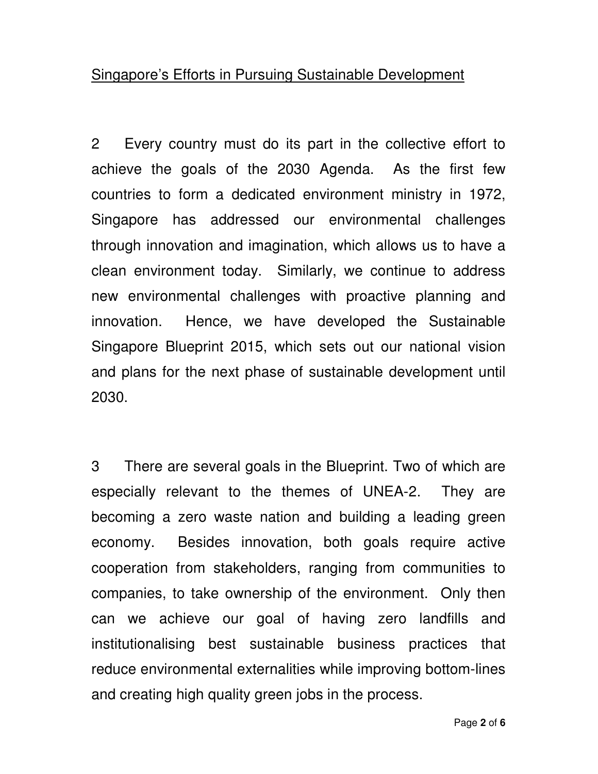## Singapore's Efforts in Pursuing Sustainable Development

2 Every country must do its part in the collective effort to achieve the goals of the 2030 Agenda. As the first few countries to form a dedicated environment ministry in 1972, Singapore has addressed our environmental challenges through innovation and imagination, which allows us to have a clean environment today. Similarly, we continue to address new environmental challenges with proactive planning and innovation. Hence, we have developed the Sustainable Singapore Blueprint 2015, which sets out our national vision and plans for the next phase of sustainable development until 2030.

3 There are several goals in the Blueprint. Two of which are especially relevant to the themes of UNEA-2. They are becoming a zero waste nation and building a leading green economy. Besides innovation, both goals require active cooperation from stakeholders, ranging from communities to companies, to take ownership of the environment. Only then can we achieve our goal of having zero landfills and institutionalising best sustainable business practices that reduce environmental externalities while improving bottom-lines and creating high quality green jobs in the process.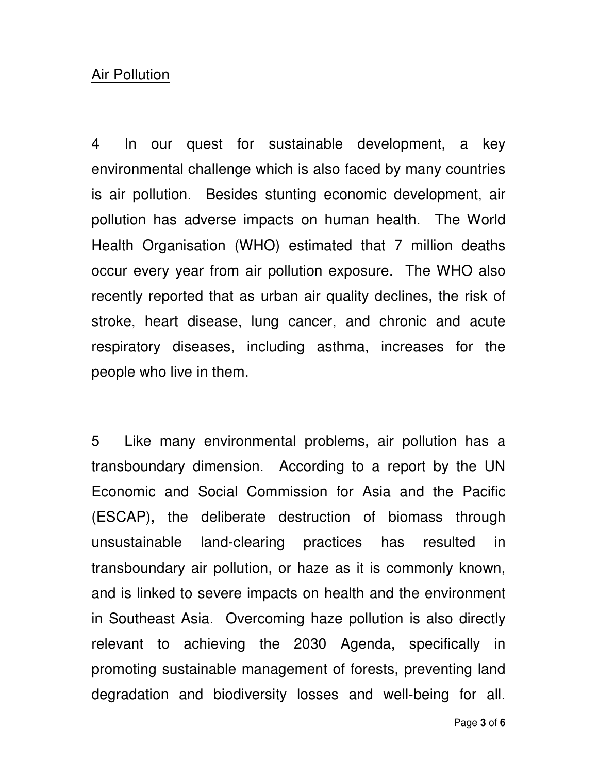### Air Pollution

4 In our quest for sustainable development, a key environmental challenge which is also faced by many countries is air pollution. Besides stunting economic development, air pollution has adverse impacts on human health. The World Health Organisation (WHO) estimated that 7 million deaths occur every year from air pollution exposure. The WHO also recently reported that as urban air quality declines, the risk of stroke, heart disease, lung cancer, and chronic and acute respiratory diseases, including asthma, increases for the people who live in them.

5 Like many environmental problems, air pollution has a transboundary dimension. According to a report by the UN Economic and Social Commission for Asia and the Pacific (ESCAP), the deliberate destruction of biomass through unsustainable land-clearing practices has resulted in transboundary air pollution, or haze as it is commonly known, and is linked to severe impacts on health and the environment in Southeast Asia. Overcoming haze pollution is also directly relevant to achieving the 2030 Agenda, specifically in promoting sustainable management of forests, preventing land degradation and biodiversity losses and well-being for all.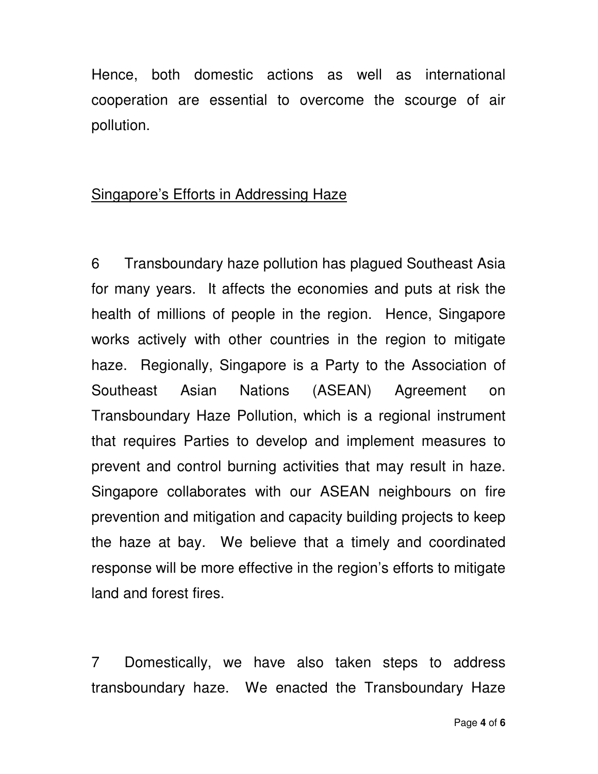Hence, both domestic actions as well as international cooperation are essential to overcome the scourge of air pollution.

## Singapore's Efforts in Addressing Haze

6 Transboundary haze pollution has plagued Southeast Asia for many years. It affects the economies and puts at risk the health of millions of people in the region. Hence, Singapore works actively with other countries in the region to mitigate haze. Regionally, Singapore is a Party to the Association of Southeast Asian Nations (ASEAN) Agreement on Transboundary Haze Pollution, which is a regional instrument that requires Parties to develop and implement measures to prevent and control burning activities that may result in haze. Singapore collaborates with our ASEAN neighbours on fire prevention and mitigation and capacity building projects to keep the haze at bay. We believe that a timely and coordinated response will be more effective in the region's efforts to mitigate land and forest fires.

7 Domestically, we have also taken steps to address transboundary haze. We enacted the Transboundary Haze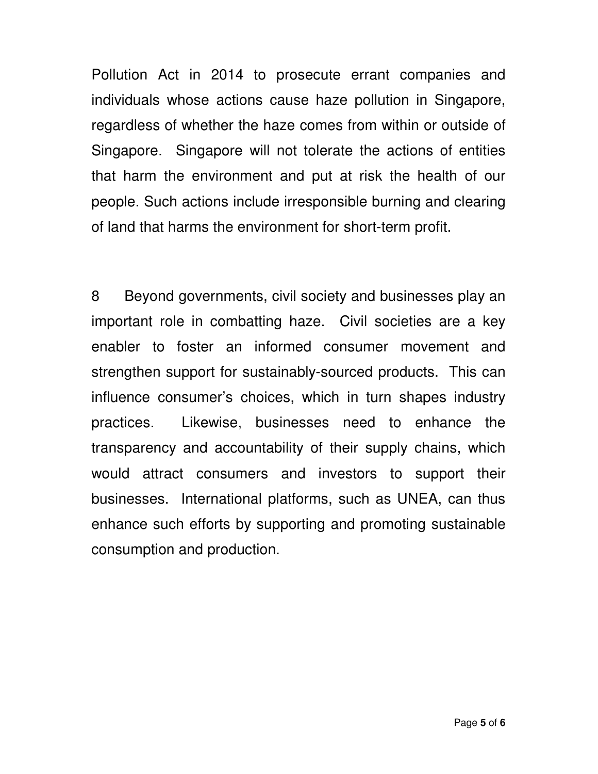Pollution Act in 2014 to prosecute errant companies and individuals whose actions cause haze pollution in Singapore, regardless of whether the haze comes from within or outside of Singapore. Singapore will not tolerate the actions of entities that harm the environment and put at risk the health of our people. Such actions include irresponsible burning and clearing of land that harms the environment for short-term profit.

8 Beyond governments, civil society and businesses play an important role in combatting haze. Civil societies are a key enabler to foster an informed consumer movement and strengthen support for sustainably-sourced products. This can influence consumer's choices, which in turn shapes industry practices. Likewise, businesses need to enhance the transparency and accountability of their supply chains, which would attract consumers and investors to support their businesses. International platforms, such as UNEA, can thus enhance such efforts by supporting and promoting sustainable consumption and production.